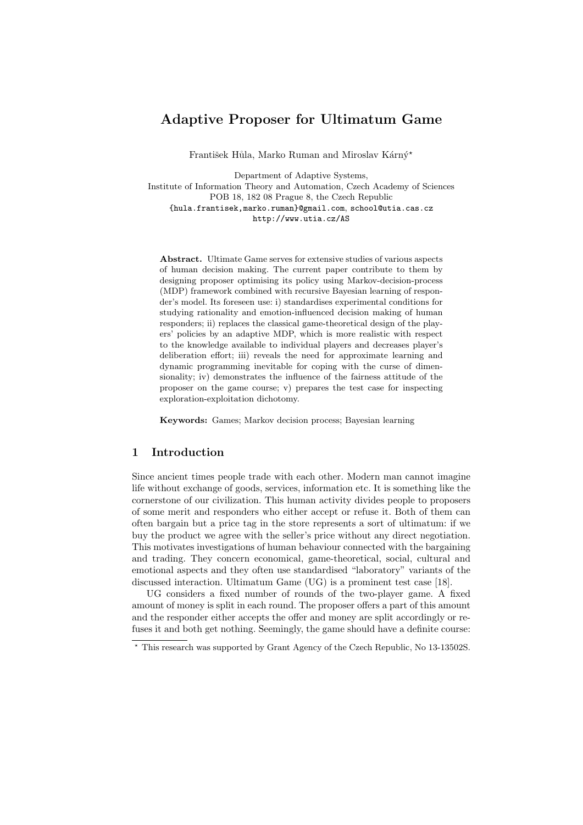# Adaptive Proposer for Ultimatum Game

František Hůla, Marko Ruman and Miroslav Kárný\*

Department of Adaptive Systems, Institute of Information Theory and Automation, Czech Academy of Sciences POB 18, 182 08 Prague 8, the Czech Republic {hula.frantisek,marko.ruman}@gmail.com, school@utia.cas.cz http://www.utia.cz/AS

Abstract. Ultimate Game serves for extensive studies of various aspects of human decision making. The current paper contribute to them by designing proposer optimising its policy using Markov-decision-process (MDP) framework combined with recursive Bayesian learning of responder's model. Its foreseen use: i) standardises experimental conditions for studying rationality and emotion-influenced decision making of human responders; ii) replaces the classical game-theoretical design of the players' policies by an adaptive MDP, which is more realistic with respect to the knowledge available to individual players and decreases player's deliberation effort; iii) reveals the need for approximate learning and dynamic programming inevitable for coping with the curse of dimensionality; iv) demonstrates the influence of the fairness attitude of the proposer on the game course; v) prepares the test case for inspecting exploration-exploitation dichotomy.

Keywords: Games; Markov decision process; Bayesian learning

# 1 Introduction

Since ancient times people trade with each other. Modern man cannot imagine life without exchange of goods, services, information etc. It is something like the cornerstone of our civilization. This human activity divides people to proposers of some merit and responders who either accept or refuse it. Both of them can often bargain but a price tag in the store represents a sort of ultimatum: if we buy the product we agree with the seller's price without any direct negotiation. This motivates investigations of human behaviour connected with the bargaining and trading. They concern economical, game-theoretical, social, cultural and emotional aspects and they often use standardised "laboratory" variants of the discussed interaction. Ultimatum Game (UG) is a prominent test case [18].

UG considers a fixed number of rounds of the two-player game. A fixed amount of money is split in each round. The proposer offers a part of this amount and the responder either accepts the offer and money are split accordingly or refuses it and both get nothing. Seemingly, the game should have a definite course:

<sup>⋆</sup> This research was supported by Grant Agency of the Czech Republic, No 13-13502S.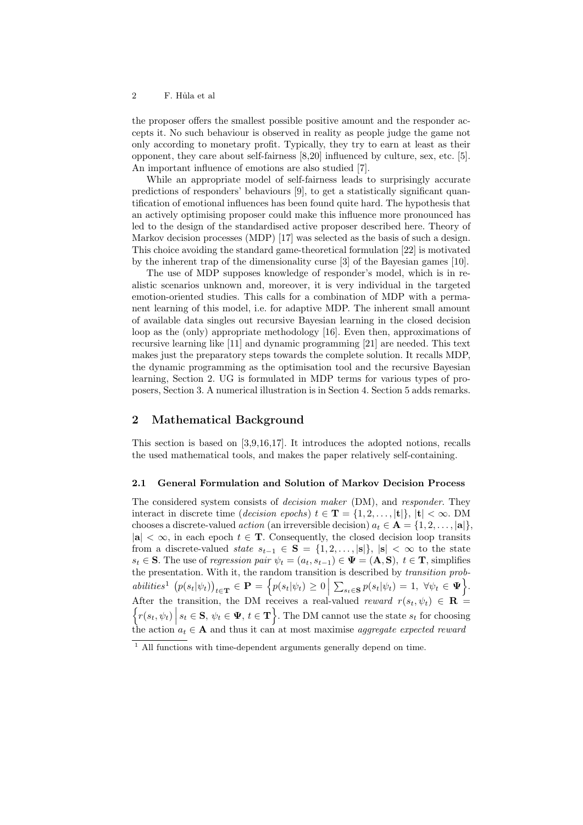the proposer offers the smallest possible positive amount and the responder accepts it. No such behaviour is observed in reality as people judge the game not only according to monetary profit. Typically, they try to earn at least as their opponent, they care about self-fairness [8,20] influenced by culture, sex, etc. [5]. An important influence of emotions are also studied [7].

While an appropriate model of self-fairness leads to surprisingly accurate predictions of responders' behaviours [9], to get a statistically significant quantification of emotional influences has been found quite hard. The hypothesis that an actively optimising proposer could make this influence more pronounced has led to the design of the standardised active proposer described here. Theory of Markov decision processes (MDP) [17] was selected as the basis of such a design. This choice avoiding the standard game-theoretical formulation [22] is motivated by the inherent trap of the dimensionality curse [3] of the Bayesian games [10].

The use of MDP supposes knowledge of responder's model, which is in realistic scenarios unknown and, moreover, it is very individual in the targeted emotion-oriented studies. This calls for a combination of MDP with a permanent learning of this model, i.e. for adaptive MDP. The inherent small amount of available data singles out recursive Bayesian learning in the closed decision loop as the (only) appropriate methodology [16]. Even then, approximations of recursive learning like [11] and dynamic programming [21] are needed. This text makes just the preparatory steps towards the complete solution. It recalls MDP, the dynamic programming as the optimisation tool and the recursive Bayesian learning, Section 2. UG is formulated in MDP terms for various types of proposers, Section 3. A numerical illustration is in Section 4. Section 5 adds remarks.

# 2 Mathematical Background

This section is based on [3,9,16,17]. It introduces the adopted notions, recalls the used mathematical tools, and makes the paper relatively self-containing.

#### 2.1 General Formulation and Solution of Markov Decision Process

The considered system consists of *decision maker* (DM), and *responder*. They interact in discrete time (decision epochs)  $t \in \mathbf{T} = \{1, 2, \ldots, |\mathbf{t}|\}, |\mathbf{t}| < \infty$ . DM chooses a discrete-valued *action* (an irreversible decision)  $a_t \in \mathbf{A} = \{1, 2, \ldots, |\mathbf{a}|\}$ .  $|\mathbf{a}| < \infty$ , in each epoch  $t \in \mathbf{T}$ . Consequently, the closed decision loop transits from a discrete-valued state  $s_{t-1} \in \mathbf{S} = \{1, 2, \ldots, |\mathbf{s}|\}, |\mathbf{s}| < \infty$  to the state  $s_t \in \mathbf{S}$ . The use of regression pair  $\psi_t = (a_t, s_{t-1}) \in \Psi = (\mathbf{A}, \mathbf{S}), t \in \mathbf{T}$ , simplifies the presentation. With it, the random transition is described by transition prob- $\text{abilities}^1 \left( p(s_t|\psi_t) \right)_{t \in \mathbf{T}} \in \mathbf{P} = \left\{ p(s_t|\psi_t) \geq 0 \middle| \sum_{s_t \in \mathbf{S}} p(s_t|\psi_t) = 1, \ \forall \psi_t \in \mathbf{\Psi} \right\}.$ After the transition, the DM receives a real-valued reward  $r(s_t, \psi_t) \in \mathbf{R}$  $\left\{ r(s_t, \psi_t) \middle| s_t \in \mathbf{S}, \psi_t \in \mathbf{\Psi}, t \in \mathbf{T} \right\}$ . The DM cannot use the state  $s_t$  for choosing the action  $a_t \in \mathbf{A}$  and thus it can at most maximise aggregate expected reward

 $1$  All functions with time-dependent arguments generally depend on time.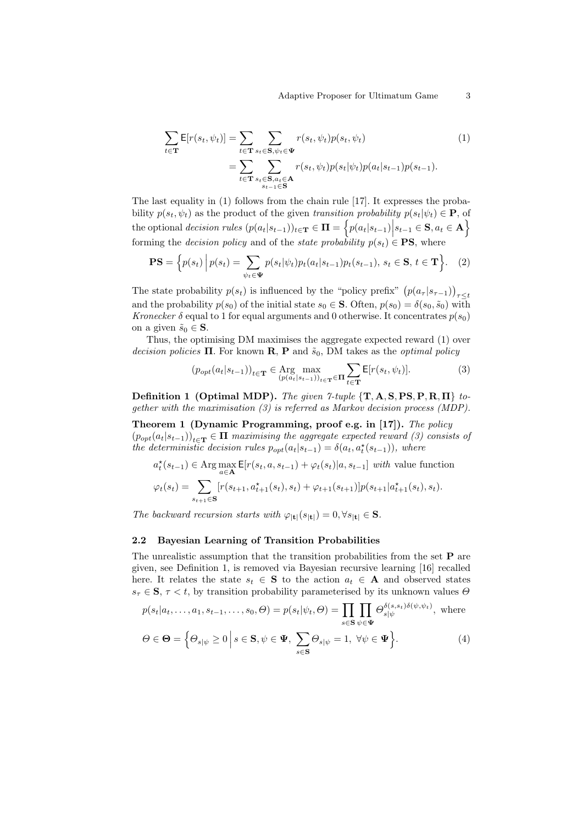$$
\sum_{t \in \mathbf{T}} \mathsf{E}[r(s_t, \psi_t)] = \sum_{t \in \mathbf{T}} \sum_{s_t \in \mathbf{S}, \psi_t \in \mathbf{\Psi}} r(s_t, \psi_t) p(s_t, \psi_t)
$$
\n
$$
= \sum_{t \in \mathbf{T}} \sum_{\substack{s_t \in \mathbf{S}, a_t \in \mathbf{A} \\ s_{t-1} \in \mathbf{S}}} r(s_t, \psi_t) p(s_t | \psi_t) p(a_t | s_{t-1}) p(s_{t-1}).
$$
\n(1)

The last equality in (1) follows from the chain rule [17]. It expresses the probability  $p(s_t, \psi_t)$  as the product of the given transition probability  $p(s_t|\psi_t) \in \mathbf{P}$ , of the optional decision rules  $(p(a_t|s_{t-1}))_{t \in \mathbf{T}} \in \mathbf{\Pi} = \Big\{p(a_t|s_{t-1})\Big|s_{t-1} \in \mathbf{S}, a_t \in \mathbf{A}\Big\}$ forming the *decision policy* and of the *state probability*  $p(s_t) \in \mathbf{PS}$ , where

$$
\mathbf{PS} = \left\{ p(s_t) \, \middle| \, p(s_t) = \sum_{\psi_t \in \mathbf{\Psi}} p(s_t | \psi_t) p_t(a_t | s_{t-1}) p_t(s_{t-1}), \, s_t \in \mathbf{S}, \, t \in \mathbf{T} \right\}.
$$
 (2)

The state probability  $p(s_t)$  is influenced by the "policy prefix"  $(p(a_\tau | s_{\tau-1}))_{\tau \leq t}$ and the probability  $p(s_0)$  of the initial state  $s_0 \in \mathbf{S}$ . Often,  $p(s_0) = \delta(s_0, \tilde{s}_0)$  with Kronecker  $\delta$  equal to 1 for equal arguments and 0 otherwise. It concentrates  $p(s_0)$ on a given  $\tilde{s}_0 \in \mathbf{S}$ .

Thus, the optimising DM maximises the aggregate expected reward (1) over decision policies  $\Pi$ . For known  $\mathbf{R}, \mathbf{P}$  and  $\tilde{s}_0$ , DM takes as the *optimal policy* 

$$
(p_{opt}(a_t|s_{t-1}))_{t \in \mathbf{T}} \in \operatorname*{Arg}_{(p(a_t|s_{t-1}))_{t \in \mathbf{T}}} \operatorname*{diag}_{t \in \mathbf{T}} \mathbf{E}[r(s_t, \psi_t)].
$$
\n(3)

Definition 1 (Optimal MDP). The given 7-tuple  $\{T, A, S, PS, P, R, \Pi\}$  together with the maximisation (3) is referred as Markov decision process (MDP).

Theorem 1 (Dynamic Programming, proof e.g. in [17]). The policy  $(p_{opt}(a_t|s_{t-1}))_{t\in\mathbf{T}} \in \mathbf{\Pi}$  maximising the aggregate expected reward (3) consists of the deterministic decision rules  $p_{opt}(a_t|s_{t-1}) = \delta(a_t, a_t^*(s_{t-1}))$ , where

$$
a_t^{\star}(s_{t-1}) \in \text{Arg}\max_{a \in \mathbf{A}} \mathsf{E}[r(s_t, a, s_{t-1}) + \varphi_t(s_t)|a, s_{t-1}] \text{ with value function}
$$

$$
\varphi_t(s_t) = \sum_{s_{t+1} \in \mathbf{S}} [r(s_{t+1}, a_{t+1}^{\star}(s_t), s_t) + \varphi_{t+1}(s_{t+1})] p(s_{t+1}|a_{t+1}^{\star}(s_t), s_t).
$$

The backward recursion starts with  $\varphi_{|\mathbf{t}|}(s_{|\mathbf{t}|}) = 0, \forall s_{|\mathbf{t}|} \in \mathbf{S}$ .

#### 2.2 Bayesian Learning of Transition Probabilities

The unrealistic assumption that the transition probabilities from the set  $P$  are given, see Definition 1, is removed via Bayesian recursive learning [16] recalled here. It relates the state  $s_t \in \mathbf{S}$  to the action  $a_t \in \mathbf{A}$  and observed states  $s_{\tau} \in \mathbf{S}$ ,  $\tau < t$ , by transition probability parameterised by its unknown values  $\Theta$ 

$$
p(s_t|a_t,\ldots,a_1,s_{t-1},\ldots,s_0,\Theta) = p(s_t|\psi_t,\Theta) = \prod_{s \in \mathbf{S}} \prod_{\psi \in \mathbf{\Psi}} \Theta_{s|\psi}^{\delta(s,s_t)\delta(\psi,\psi_t)},
$$
 where

$$
\Theta \in \mathbf{\Theta} = \left\{ \Theta_{s|\psi} \ge 0 \, \middle| \, s \in \mathbf{S}, \psi \in \mathbf{\Psi}, \, \sum_{s \in \mathbf{S}} \Theta_{s|\psi} = 1, \, \forall \psi \in \mathbf{\Psi} \right\}.
$$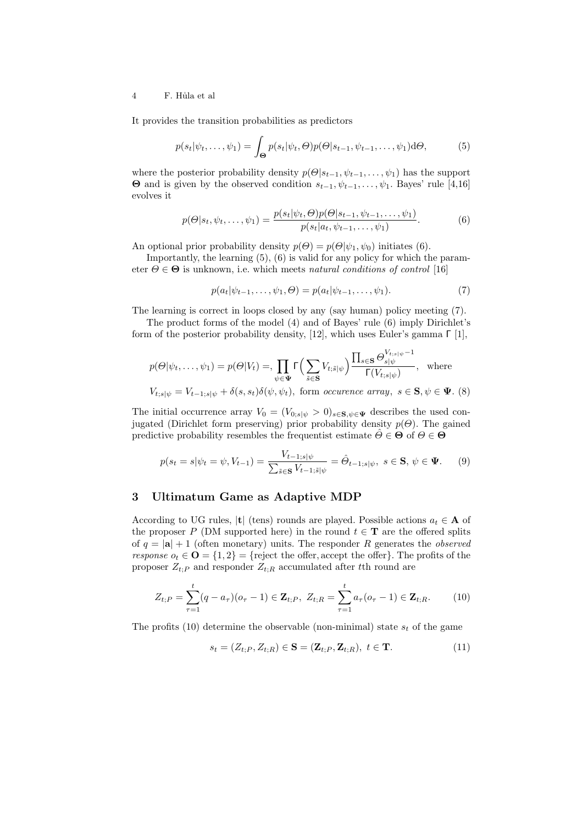It provides the transition probabilities as predictors

$$
p(s_t|\psi_t,\ldots,\psi_1) = \int_{\Theta} p(s_t|\psi_t,\Theta)p(\Theta|s_{t-1},\psi_{t-1},\ldots,\psi_1)d\Theta,\tag{5}
$$

where the posterior probability density  $p(\Theta|s_{t-1}, \psi_{t-1}, \dots, \psi_1)$  has the support  $\Theta$  and is given by the observed condition  $s_{t-1}, \psi_{t-1}, \ldots, \psi_1$ . Bayes' rule [4,16] evolves it

$$
p(\Theta|s_t, \psi_t, \dots, \psi_1) = \frac{p(s_t|\psi_t, \Theta)p(\Theta|s_{t-1}, \psi_{t-1}, \dots, \psi_1)}{p(s_t|a_t, \psi_{t-1}, \dots, \psi_1)}.
$$
(6)

An optional prior probability density  $p(\Theta) = p(\Theta|\psi_1, \psi_0)$  initiates (6).

Importantly, the learning (5), (6) is valid for any policy for which the parameter  $\Theta \in \Theta$  is unknown, i.e. which meets natural conditions of control [16]

$$
p(a_t|\psi_{t-1},\ldots,\psi_1,\Theta) = p(a_t|\psi_{t-1},\ldots,\psi_1). \tag{7}
$$

The learning is correct in loops closed by any (say human) policy meeting (7).

The product forms of the model (4) and of Bayes' rule (6) imply Dirichlet's form of the posterior probability density, [12], which uses Euler's gamma Γ [1],

$$
p(\Theta|\psi_t, \dots, \psi_1) = p(\Theta|V_t) = \prod_{\psi \in \mathbf{\Psi}} \Gamma\left(\sum_{\tilde{s} \in \mathbf{S}} V_{t, \tilde{s}|\psi}\right) \frac{\prod_{s \in \mathbf{S}} \Theta_{s|\psi}^{V_{t, s|\psi} - 1}}{\Gamma(V_{t, s|\psi})}, \text{ where}
$$
  

$$
V_{t, s|\psi} = V_{t-1, s|\psi} + \delta(s, s_t) \delta(\psi, \psi_t), \text{ form occurrence array, } s \in \mathbf{S}, \psi \in \mathbf{\Psi}. (8)
$$

The initial occurrence array  $V_0 = (V_{0:s|\psi} > 0)_{s \in \mathbf{S}, \psi \in \Psi}$  describes the used conjugated (Dirichlet form preserving) prior probability density  $p(\Theta)$ . The gained predictive probability resembles the frequentist estimate  $\hat{\Theta} \in \Theta$  of  $\Theta \in \Theta$ 

$$
p(s_t = s | \psi_t = \psi, V_{t-1}) = \frac{V_{t-1; s | \psi}}{\sum_{\tilde{s} \in \mathbf{S}} V_{t-1; \tilde{s} | \psi}} = \hat{\Theta}_{t-1; s | \psi}, \ s \in \mathbf{S}, \ \psi \in \mathbf{\Psi}. \tag{9}
$$

## 3 Ultimatum Game as Adaptive MDP

According to UG rules, |t| (tens) rounds are played. Possible actions  $a_t \in \mathbf{A}$  of the proposer P (DM supported here) in the round  $t \in$ **T** are the offered splits of  $q = |\mathbf{a}| + 1$  (often monetary) units. The responder R generates the *observed* response  $o_t \in \mathbf{O} = \{1, 2\} = \{\text{reject the offer}, \text{accept the offer}\}\.$  The profits of the proposer  $Z_{t:P}$  and responder  $Z_{t:R}$  accumulated after tth round are

$$
Z_{t;P} = \sum_{\tau=1}^{t} (q - a_{\tau})(o_{\tau} - 1) \in \mathbf{Z}_{t;P}, \ Z_{t;R} = \sum_{\tau=1}^{t} a_{\tau}(o_{\tau} - 1) \in \mathbf{Z}_{t;R}.
$$
 (10)

The profits (10) determine the observable (non-minimal) state  $s_t$  of the game

$$
s_t = (Z_{t;P}, Z_{t;R}) \in \mathbf{S} = (\mathbf{Z}_{t;P}, \mathbf{Z}_{t;R}), \ t \in \mathbf{T}.
$$
 (11)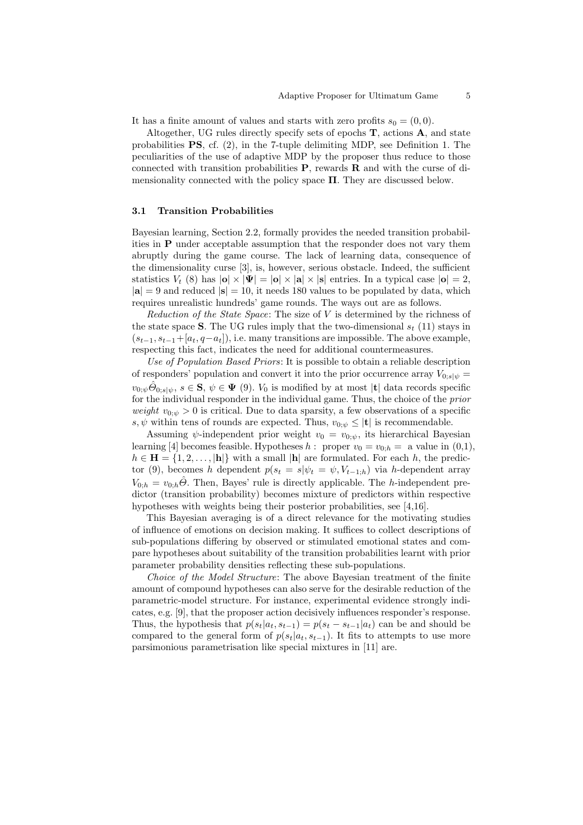It has a finite amount of values and starts with zero profits  $s_0 = (0, 0)$ .

Altogether, UG rules directly specify sets of epochs  $T$ , actions  $A$ , and state probabilities PS, cf. (2), in the 7-tuple delimiting MDP, see Definition 1. The peculiarities of the use of adaptive MDP by the proposer thus reduce to those connected with transition probabilities  $P$ , rewards  $R$  and with the curse of dimensionality connected with the policy space  $\Pi$ . They are discussed below.

#### 3.1 Transition Probabilities

Bayesian learning, Section 2.2, formally provides the needed transition probabilities in P under acceptable assumption that the responder does not vary them abruptly during the game course. The lack of learning data, consequence of the dimensionality curse [3], is, however, serious obstacle. Indeed, the sufficient statistics  $V_t$  (8) has  $|\mathbf{o}| \times |\mathbf{\Psi}| = |\mathbf{o}| \times |\mathbf{a}| \times |\mathbf{s}|$  entries. In a typical case  $|\mathbf{o}| = 2$ ,  $|{\bf a}| = 9$  and reduced  $|{\bf s}| = 10$ , it needs 180 values to be populated by data, which requires unrealistic hundreds' game rounds. The ways out are as follows.

Reduction of the State Space: The size of  $V$  is determined by the richness of the state space S. The UG rules imply that the two-dimensional  $s_t$  (11) stays in  $(s_{t-1}, s_{t-1}+[a_t, q-a_t])$ , i.e. many transitions are impossible. The above example, respecting this fact, indicates the need for additional countermeasures.

Use of Population Based Priors: It is possible to obtain a reliable description of responders' population and convert it into the prior occurrence array  $V_{0:s|w}$  =  $v_{0;\psi}\hat{\Theta}_{0;s|\psi}, s \in \mathbf{S}, \psi \in \mathbf{\Psi}$  (9).  $V_0$  is modified by at most |t| data records specific for the individual responder in the individual game. Thus, the choice of the prior *weight*  $v_{0;\psi} > 0$  is critical. Due to data sparsity, a few observations of a specific s,  $\psi$  within tens of rounds are expected. Thus,  $v_{0;\psi} \leq |\mathbf{t}|$  is recommendable.

Assuming  $\psi$ -independent prior weight  $v_0 = v_{0;\psi}$ , its hierarchical Bayesian learning [4] becomes feasible. Hypotheses h: proper  $v_0 = v_{0,h} = a$  value in  $(0,1)$ ,  $h \in \mathbf{H} = \{1, 2, \ldots, |\mathbf{h}|\}$  with a small  $|\mathbf{h}|$  are formulated. For each h, the predictor (9), becomes h dependent  $p(s_t = s | \psi_t = \psi, V_{t-1,h})$  via h-dependent array  $V_{0,h} = v_{0,h} \hat{\Theta}$ . Then, Bayes' rule is directly applicable. The h-independent predictor (transition probability) becomes mixture of predictors within respective hypotheses with weights being their posterior probabilities, see [4,16].

This Bayesian averaging is of a direct relevance for the motivating studies of influence of emotions on decision making. It suffices to collect descriptions of sub-populations differing by observed or stimulated emotional states and compare hypotheses about suitability of the transition probabilities learnt with prior parameter probability densities reflecting these sub-populations.

Choice of the Model Structure: The above Bayesian treatment of the finite amount of compound hypotheses can also serve for the desirable reduction of the parametric-model structure. For instance, experimental evidence strongly indicates, e.g. [9], that the proposer action decisively influences responder's response. Thus, the hypothesis that  $p(s_t|a_t, s_{t-1}) = p(s_t - s_{t-1}|a_t)$  can be and should be compared to the general form of  $p(s_t|a_t, s_{t-1})$ . It fits to attempts to use more parsimonious parametrisation like special mixtures in [11] are.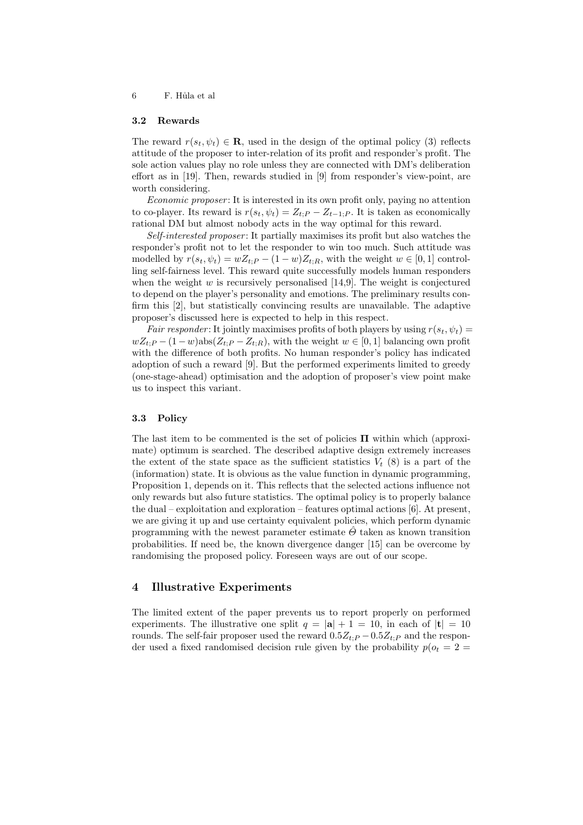#### 3.2 Rewards

The reward  $r(s_t, \psi_t) \in \mathbf{R}$ , used in the design of the optimal policy (3) reflects attitude of the proposer to inter-relation of its profit and responder's profit. The sole action values play no role unless they are connected with DM's deliberation effort as in [19]. Then, rewards studied in [9] from responder's view-point, are worth considering.

Economic proposer : It is interested in its own profit only, paying no attention to co-player. Its reward is  $r(s_t, \psi_t) = Z_{t:P} - Z_{t-1:P}$ . It is taken as economically rational DM but almost nobody acts in the way optimal for this reward.

Self-interested proposer: It partially maximises its profit but also watches the responder's profit not to let the responder to win too much. Such attitude was modelled by  $r(s_t, \psi_t) = wZ_{t,P} - (1-w)Z_{t,R}$ , with the weight  $w \in [0,1]$  controlling self-fairness level. This reward quite successfully models human responders when the weight  $w$  is recursively personalised [14,9]. The weight is conjectured to depend on the player's personality and emotions. The preliminary results confirm this [2], but statistically convincing results are unavailable. The adaptive proposer's discussed here is expected to help in this respect.

Fair responder: It jointly maximises profits of both players by using  $r(s_t, \psi_t) =$  $wZ_{t:P} - (1-w)\text{abs}(Z_{t:P} - Z_{t:R})$ , with the weight  $w \in [0,1]$  balancing own profit with the difference of both profits. No human responder's policy has indicated adoption of such a reward [9]. But the performed experiments limited to greedy (one-stage-ahead) optimisation and the adoption of proposer's view point make us to inspect this variant.

#### 3.3 Policy

The last item to be commented is the set of policies  $\Pi$  within which (approximate) optimum is searched. The described adaptive design extremely increases the extent of the state space as the sufficient statistics  $V_t$  (8) is a part of the (information) state. It is obvious as the value function in dynamic programming, Proposition 1, depends on it. This reflects that the selected actions influence not only rewards but also future statistics. The optimal policy is to properly balance the dual – exploitation and exploration – features optimal actions [6]. At present, we are giving it up and use certainty equivalent policies, which perform dynamic programming with the newest parameter estimate  $\hat{\Theta}$  taken as known transition probabilities. If need be, the known divergence danger [15] can be overcome by randomising the proposed policy. Foreseen ways are out of our scope.

# 4 Illustrative Experiments

The limited extent of the paper prevents us to report properly on performed experiments. The illustrative one split  $q = |\mathbf{a}| + 1 = 10$ , in each of  $|\mathbf{t}| = 10$ rounds. The self-fair proposer used the reward  $0.5Z_{t;P} - 0.5Z_{t;P}$  and the responder used a fixed randomised decision rule given by the probability  $p(o_t = 2 =$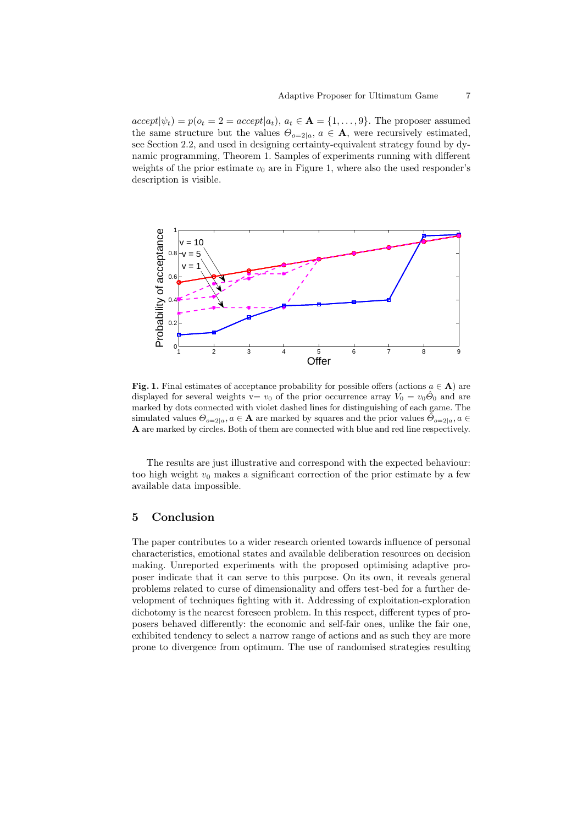$accept|\psi_t) = p(o_t = 2 = accept|a_t), a_t \in \mathbf{A} = \{1, ..., 9\}$ . The proposer assumed the same structure but the values  $\Theta_{o=2|a}, a \in \mathbf{A}$ , were recursively estimated, see Section 2.2, and used in designing certainty-equivalent strategy found by dynamic programming, Theorem 1. Samples of experiments running with different weights of the prior estimate  $v_0$  are in Figure 1, where also the used responder's description is visible.



**Fig. 1.** Final estimates of acceptance probability for possible offers (actions  $a \in \mathbf{A}$ ) are displayed for several weights v=  $v_0$  of the prior occurrence array  $V_0 = v_0\hat{\Theta}_0$  and are marked by dots connected with violet dashed lines for distinguishing of each game. The simulated values  $\Theta_{o=2|a}, a \in \mathbf{A}$  are marked by squares and the prior values  $\tilde{\Theta}_{o=2|a}, a \in$ A are marked by circles. Both of them are connected with blue and red line respectively.

The results are just illustrative and correspond with the expected behaviour: too high weight  $v_0$  makes a significant correction of the prior estimate by a few available data impossible.

## 5 Conclusion

The paper contributes to a wider research oriented towards influence of personal characteristics, emotional states and available deliberation resources on decision making. Unreported experiments with the proposed optimising adaptive proposer indicate that it can serve to this purpose. On its own, it reveals general problems related to curse of dimensionality and offers test-bed for a further development of techniques fighting with it. Addressing of exploitation-exploration dichotomy is the nearest foreseen problem. In this respect, different types of proposers behaved differently: the economic and self-fair ones, unlike the fair one, exhibited tendency to select a narrow range of actions and as such they are more prone to divergence from optimum. The use of randomised strategies resulting